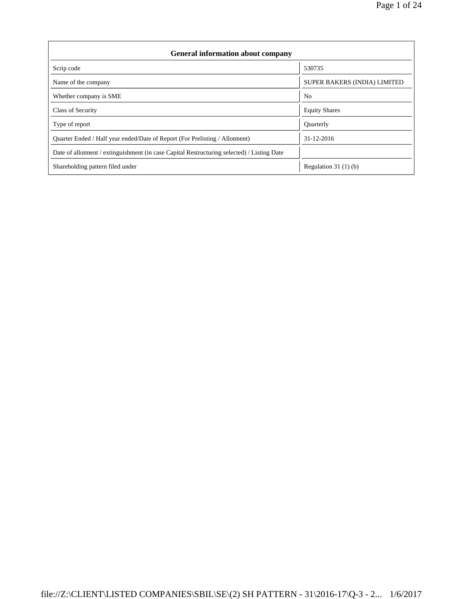| <b>General information about company</b>                                                   |                              |  |  |  |  |  |  |
|--------------------------------------------------------------------------------------------|------------------------------|--|--|--|--|--|--|
| Scrip code                                                                                 | 530735                       |  |  |  |  |  |  |
| Name of the company                                                                        | SUPER BAKERS (INDIA) LIMITED |  |  |  |  |  |  |
| Whether company is SME                                                                     | No.                          |  |  |  |  |  |  |
| Class of Security                                                                          | <b>Equity Shares</b>         |  |  |  |  |  |  |
| Type of report                                                                             | Quarterly                    |  |  |  |  |  |  |
| Quarter Ended / Half year ended/Date of Report (For Prelisting / Allotment)                | 31-12-2016                   |  |  |  |  |  |  |
| Date of allotment / extinguishment (in case Capital Restructuring selected) / Listing Date |                              |  |  |  |  |  |  |
| Shareholding pattern filed under                                                           | Regulation 31 $(1)(b)$       |  |  |  |  |  |  |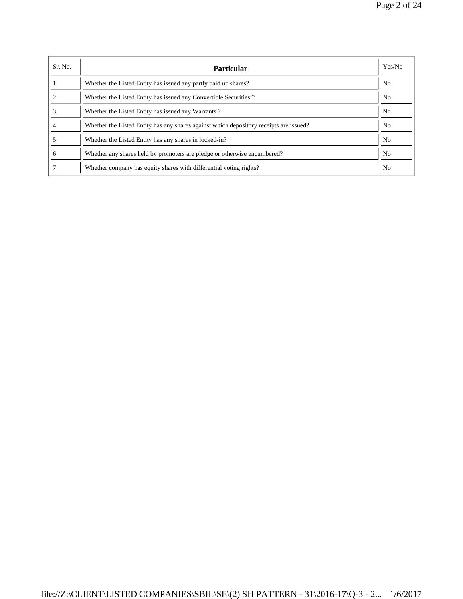| Sr. No. | <b>Particular</b>                                                                      | Yes/No         |
|---------|----------------------------------------------------------------------------------------|----------------|
|         | Whether the Listed Entity has issued any partly paid up shares?                        | N <sub>o</sub> |
|         | Whether the Listed Entity has issued any Convertible Securities?                       | N <sub>0</sub> |
|         | Whether the Listed Entity has issued any Warrants?                                     | N <sub>0</sub> |
|         | Whether the Listed Entity has any shares against which depository receipts are issued? | No             |
|         | Whether the Listed Entity has any shares in locked-in?                                 | N <sub>0</sub> |
| h       | Whether any shares held by promoters are pledge or otherwise encumbered?               | N <sub>0</sub> |
|         | Whether company has equity shares with differential voting rights?                     | N <sub>0</sub> |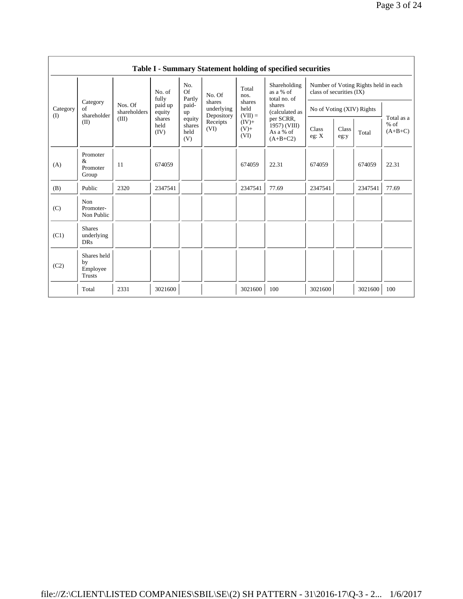|                 | Table I - Summary Statement holding of specified securities |                                  |                                                                |                                                                              |                                                                  |                                                                             |                                                                                                                                 |                                                                  |               |         |                                   |
|-----------------|-------------------------------------------------------------|----------------------------------|----------------------------------------------------------------|------------------------------------------------------------------------------|------------------------------------------------------------------|-----------------------------------------------------------------------------|---------------------------------------------------------------------------------------------------------------------------------|------------------------------------------------------------------|---------------|---------|-----------------------------------|
| Category<br>(I) | Category<br>of<br>shareholder<br>(II)                       | Nos. Of<br>shareholders<br>(III) | No. of<br>fully<br>paid up<br>equity<br>shares<br>held<br>(IV) | No.<br><b>Of</b><br>Partly<br>paid-<br>up<br>equity<br>shares<br>held<br>(V) | No. Of<br>shares<br>underlying<br>Depository<br>Receipts<br>(VI) | Total<br>nos.<br>shares<br>held<br>$(VII) =$<br>$(IV)$ +<br>$(V) +$<br>(VI) | Shareholding<br>as a % of<br>total no. of<br>shares<br>(calculated as<br>per SCRR,<br>$1957)$ (VIII)<br>As a % of<br>$(A+B+C2)$ | Number of Voting Rights held in each<br>class of securities (IX) |               |         |                                   |
|                 |                                                             |                                  |                                                                |                                                                              |                                                                  |                                                                             |                                                                                                                                 | No of Voting (XIV) Rights                                        |               |         |                                   |
|                 |                                                             |                                  |                                                                |                                                                              |                                                                  |                                                                             |                                                                                                                                 | Class<br>eg: X                                                   | Class<br>eg:y | Total   | Total as a<br>$%$ of<br>$(A+B+C)$ |
| (A)             | Promoter<br>&<br>Promoter<br>Group                          | 11                               | 674059                                                         |                                                                              |                                                                  | 674059                                                                      | 22.31                                                                                                                           | 674059                                                           |               | 674059  | 22.31                             |
| (B)             | Public                                                      | 2320                             | 2347541                                                        |                                                                              |                                                                  | 2347541                                                                     | 77.69                                                                                                                           | 2347541                                                          |               | 2347541 | 77.69                             |
| (C)             | Non<br>Promoter-<br>Non Public                              |                                  |                                                                |                                                                              |                                                                  |                                                                             |                                                                                                                                 |                                                                  |               |         |                                   |
| (C1)            | <b>Shares</b><br>underlying<br><b>DRs</b>                   |                                  |                                                                |                                                                              |                                                                  |                                                                             |                                                                                                                                 |                                                                  |               |         |                                   |
| (C2)            | Shares held<br>by<br>Employee<br>Trusts                     |                                  |                                                                |                                                                              |                                                                  |                                                                             |                                                                                                                                 |                                                                  |               |         |                                   |
|                 | Total                                                       | 2331                             | 3021600                                                        |                                                                              |                                                                  | 3021600                                                                     | 100                                                                                                                             | 3021600                                                          |               | 3021600 | 100                               |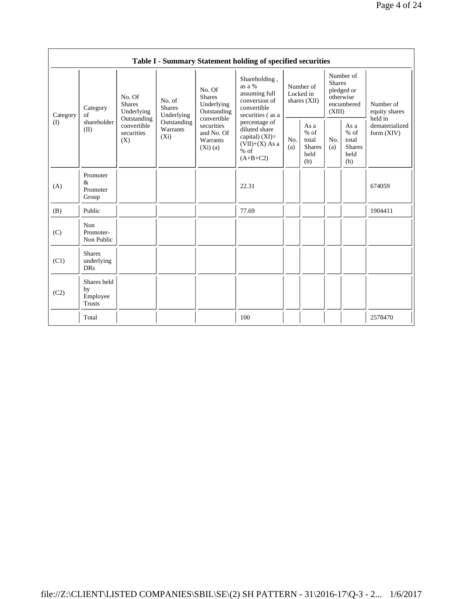|                 |                                                |                                                                                                     |                                       |                                                                                                                        | Table I - Summary Statement holding of specified securities                                    |                                        |                                                         |                                                                               |                                                         |                                       |
|-----------------|------------------------------------------------|-----------------------------------------------------------------------------------------------------|---------------------------------------|------------------------------------------------------------------------------------------------------------------------|------------------------------------------------------------------------------------------------|----------------------------------------|---------------------------------------------------------|-------------------------------------------------------------------------------|---------------------------------------------------------|---------------------------------------|
| Category<br>(I) | Category<br>of<br>shareholder<br>(II)          | No. Of<br><b>Shares</b><br>Underlying<br>Outstanding<br>convertible<br>securities<br>$(X_i)$<br>(X) | No. of<br><b>Shares</b><br>Underlying | No. Of<br><b>Shares</b><br>Underlying<br>Outstanding<br>convertible<br>securities<br>and No. Of<br>Warrants<br>(Xi)(a) | Shareholding,<br>as a %<br>assuming full<br>conversion of<br>convertible<br>securities (as a   | Number of<br>Locked in<br>shares (XII) |                                                         | Number of<br><b>Shares</b><br>pledged or<br>otherwise<br>encumbered<br>(XIII) |                                                         | Number of<br>equity shares<br>held in |
|                 |                                                |                                                                                                     | Outstanding<br>Warrants               |                                                                                                                        | percentage of<br>diluted share<br>capital) $(XI)=$<br>$(VII)+(X)$ As a<br>$%$ of<br>$(A+B+C2)$ | No.<br>(a)                             | As a<br>$%$ of<br>total<br><b>Shares</b><br>held<br>(b) | No.<br>(a)                                                                    | As a<br>$%$ of<br>total<br><b>Shares</b><br>held<br>(b) | dematerialized<br>form $(XIV)$        |
| (A)             | Promoter<br>&<br>Promoter<br>Group             |                                                                                                     |                                       |                                                                                                                        | 22.31                                                                                          |                                        |                                                         |                                                                               |                                                         | 674059                                |
| (B)             | Public                                         |                                                                                                     |                                       |                                                                                                                        | 77.69                                                                                          |                                        |                                                         |                                                                               |                                                         | 1904411                               |
| (C)             | Non<br>Promoter-<br>Non Public                 |                                                                                                     |                                       |                                                                                                                        |                                                                                                |                                        |                                                         |                                                                               |                                                         |                                       |
| (C1)            | <b>Shares</b><br>underlying<br><b>DRs</b>      |                                                                                                     |                                       |                                                                                                                        |                                                                                                |                                        |                                                         |                                                                               |                                                         |                                       |
| (C2)            | Shares held<br>by<br>Employee<br><b>Trusts</b> |                                                                                                     |                                       |                                                                                                                        |                                                                                                |                                        |                                                         |                                                                               |                                                         |                                       |
|                 | Total                                          |                                                                                                     |                                       |                                                                                                                        | 100                                                                                            |                                        |                                                         |                                                                               |                                                         | 2578470                               |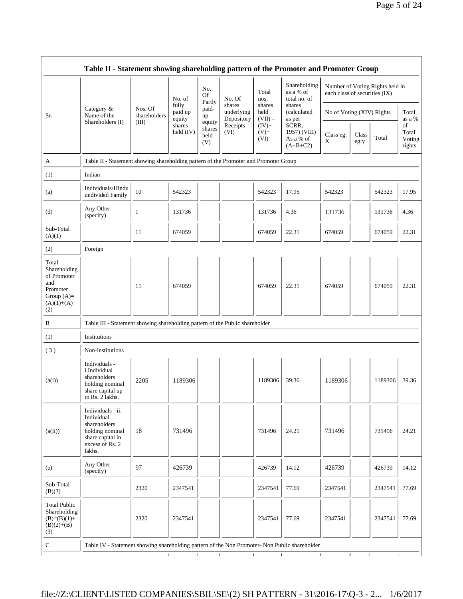|                                                                                                | Table II - Statement showing shareholding pattern of the Promoter and Promoter Group                                |                         |                            |                                 |                                    |                             |                                                  |                               |               |                                 |                                 |
|------------------------------------------------------------------------------------------------|---------------------------------------------------------------------------------------------------------------------|-------------------------|----------------------------|---------------------------------|------------------------------------|-----------------------------|--------------------------------------------------|-------------------------------|---------------|---------------------------------|---------------------------------|
|                                                                                                |                                                                                                                     |                         | No. of                     | No.<br><b>Of</b><br>Partly      | No. Of                             | Total<br>nos.               | Shareholding<br>as a % of<br>total no. of        | each class of securities (IX) |               | Number of Voting Rights held in |                                 |
| Sr.                                                                                            | Category &<br>Name of the                                                                                           | Nos. Of<br>shareholders | fully<br>paid up<br>equity | paid-<br>up                     | shares<br>underlying<br>Depository | shares<br>held<br>$(VII) =$ | shares<br>(calculated<br>as per                  | No of Voting (XIV) Rights     |               |                                 | Total<br>as a %                 |
|                                                                                                | Shareholders (I)                                                                                                    | (III)                   | shares<br>held $(IV)$      | equity<br>shares<br>held<br>(V) | Receipts<br>(VI)                   | $(IV)$ +<br>$(V) +$<br>(VI) | SCRR,<br>1957) (VIII)<br>As a % of<br>$(A+B+C2)$ | Class eg:<br>X                | Class<br>eg:y | Total                           | of<br>Total<br>Voting<br>rights |
| A                                                                                              | Table II - Statement showing shareholding pattern of the Promoter and Promoter Group                                |                         |                            |                                 |                                    |                             |                                                  |                               |               |                                 |                                 |
| (1)                                                                                            | Indian                                                                                                              |                         |                            |                                 |                                    |                             |                                                  |                               |               |                                 |                                 |
| (a)                                                                                            | Individuals/Hindu<br>undivided Family                                                                               | 10                      | 542323                     |                                 |                                    | 542323                      | 17.95                                            | 542323                        |               | 542323                          | 17.95                           |
| (d)                                                                                            | Any Other<br>(specify)                                                                                              | $\mathbf{1}$            | 131736                     |                                 |                                    | 131736                      | 4.36                                             | 131736                        |               | 131736                          | 4.36                            |
| Sub-Total<br>(A)(1)                                                                            |                                                                                                                     | 11                      | 674059                     |                                 |                                    | 674059                      | 22.31                                            | 674059                        |               | 674059                          | 22.31                           |
| (2)                                                                                            | Foreign                                                                                                             |                         |                            |                                 |                                    |                             |                                                  |                               |               |                                 |                                 |
| Total<br>Shareholding<br>of Promoter<br>and<br>Promoter<br>Group $(A)=$<br>$(A)(1)+(A)$<br>(2) |                                                                                                                     | 11                      | 674059                     |                                 |                                    | 674059                      | 22.31                                            | 674059                        |               | 674059                          | 22.31                           |
| B                                                                                              | Table III - Statement showing shareholding pattern of the Public shareholder                                        |                         |                            |                                 |                                    |                             |                                                  |                               |               |                                 |                                 |
| (1)                                                                                            | Institutions                                                                                                        |                         |                            |                                 |                                    |                             |                                                  |                               |               |                                 |                                 |
| (3)                                                                                            | Non-institutions                                                                                                    |                         |                            |                                 |                                    |                             |                                                  |                               |               |                                 |                                 |
| (a(i))                                                                                         | Individuals -<br>i.Individual<br>shareholders<br>holding nominal<br>share capital up<br>to Rs. 2 lakhs.             | 2205                    | 1189306                    |                                 |                                    | 1189306                     | 39.36                                            | 1189306                       |               | 1189306                         | 39.36                           |
| (a(ii))                                                                                        | Individuals - ii.<br>Individual<br>shareholders<br>holding nominal<br>share capital in<br>excess of Rs. 2<br>lakhs. | 18                      | 731496                     |                                 |                                    | 731496                      | 24.21                                            | 731496                        |               | 731496                          | 24.21                           |
| (e)                                                                                            | Any Other<br>(specify)                                                                                              | 97                      | 426739                     |                                 |                                    | 426739                      | 14.12                                            | 426739                        |               | 426739                          | 14.12                           |
| Sub-Total<br>(B)(3)                                                                            |                                                                                                                     | 2320                    | 2347541                    |                                 |                                    | 2347541                     | 77.69                                            | 2347541                       |               | 2347541                         | 77.69                           |
| <b>Total Public</b><br>Shareholding<br>$(B)=(B)(1)+$<br>$(B)(2)+(B)$<br>(3)                    |                                                                                                                     | 2320                    | 2347541                    |                                 |                                    | 2347541                     | 77.69                                            | 2347541                       |               | 2347541                         | 77.69                           |
| ${\bf C}$                                                                                      | Table IV - Statement showing shareholding pattern of the Non Promoter- Non Public shareholder                       |                         |                            |                                 |                                    |                             |                                                  |                               |               |                                 |                                 |

 $\mathbf{I}$ 

 $\blacksquare$ 

 $\sim 10$ 

 $\blacksquare$ 

 $\mathbf{L}$ 

 $\mathbf{T}$ 

 $\sim 10^{-5}$ 

 $\mathbf{1}$ 

 $\mathbf{I}$ 

 $\sim 10^{-5}$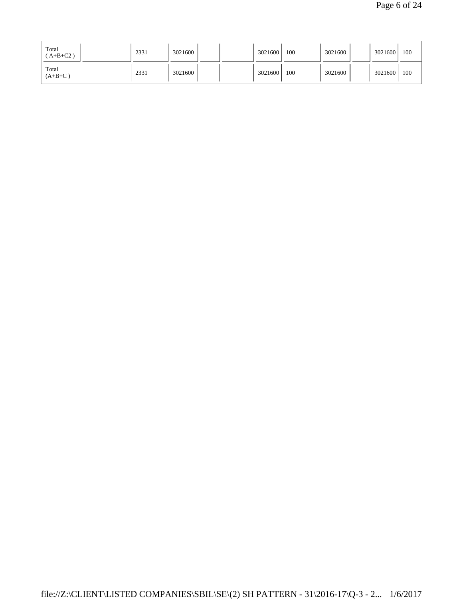| Total<br>$A+B+C2$ ) | 2331 | 3021600 | 3021600 | 100 | 3021600 | 3021600 | 100 |
|---------------------|------|---------|---------|-----|---------|---------|-----|
| Total<br>$(A+B+C)$  | 2331 | 3021600 | 3021600 | 100 | 3021600 | 3021600 | 100 |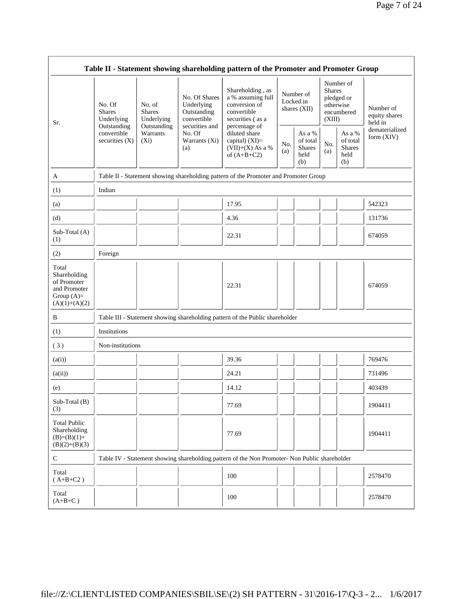|                                                                                         | Table II - Statement showing shareholding pattern of the Promoter and Promoter Group    |                                                                             |                                                           |                                                                                                            |                                        |                                                    |                         |                                                    |                                       |
|-----------------------------------------------------------------------------------------|-----------------------------------------------------------------------------------------|-----------------------------------------------------------------------------|-----------------------------------------------------------|------------------------------------------------------------------------------------------------------------|----------------------------------------|----------------------------------------------------|-------------------------|----------------------------------------------------|---------------------------------------|
| Sr.                                                                                     | No. Of<br><b>Shares</b><br>Underlying<br>Outstanding<br>convertible<br>securities $(X)$ | No. of<br><b>Shares</b><br>Underlying<br>Outstanding<br>Warrants<br>$(X_i)$ | No. Of Shares<br>Underlying<br>Outstanding<br>convertible | Shareholding, as<br>a % assuming full<br>conversion of<br>convertible<br>securities (as a<br>percentage of | Number of<br>Locked in<br>shares (XII) |                                                    | <b>Shares</b><br>(XIII) | Number of<br>pledged or<br>otherwise<br>encumbered | Number of<br>equity shares<br>held in |
|                                                                                         |                                                                                         |                                                                             | securities and<br>No. Of<br>Warrants (Xi)<br>(a)          | diluted share<br>capital) $(XI)=$<br>$(VII)+(X)$ As a %<br>of $(A+B+C2)$                                   | No.<br>(a)                             | As a %<br>of total<br><b>Shares</b><br>held<br>(b) | No.<br>(a)              | As a %<br>of total<br><b>Shares</b><br>held<br>(b) | dematerialized<br>form (XIV)          |
| A                                                                                       |                                                                                         |                                                                             |                                                           | Table II - Statement showing shareholding pattern of the Promoter and Promoter Group                       |                                        |                                                    |                         |                                                    |                                       |
| (1)                                                                                     | Indian                                                                                  |                                                                             |                                                           |                                                                                                            |                                        |                                                    |                         |                                                    |                                       |
| (a)                                                                                     |                                                                                         |                                                                             |                                                           | 17.95                                                                                                      |                                        |                                                    |                         |                                                    | 542323                                |
| (d)                                                                                     |                                                                                         |                                                                             |                                                           | 4.36                                                                                                       |                                        |                                                    |                         |                                                    | 131736                                |
| Sub-Total (A)<br>(1)                                                                    |                                                                                         |                                                                             |                                                           | 22.31                                                                                                      |                                        |                                                    |                         |                                                    | 674059                                |
| (2)                                                                                     | Foreign                                                                                 |                                                                             |                                                           |                                                                                                            |                                        |                                                    |                         |                                                    |                                       |
| Total<br>Shareholding<br>of Promoter<br>and Promoter<br>Group $(A)=$<br>$(A)(1)+(A)(2)$ |                                                                                         |                                                                             |                                                           | 22.31                                                                                                      |                                        |                                                    |                         |                                                    | 674059                                |
| B                                                                                       |                                                                                         |                                                                             |                                                           | Table III - Statement showing shareholding pattern of the Public shareholder                               |                                        |                                                    |                         |                                                    |                                       |
| (1)                                                                                     | Institutions                                                                            |                                                                             |                                                           |                                                                                                            |                                        |                                                    |                         |                                                    |                                       |
| (3)                                                                                     | Non-institutions                                                                        |                                                                             |                                                           |                                                                                                            |                                        |                                                    |                         |                                                    |                                       |
| (a(i))                                                                                  |                                                                                         |                                                                             |                                                           | 39.36                                                                                                      |                                        |                                                    |                         |                                                    | 769476                                |
| (a(ii))                                                                                 |                                                                                         |                                                                             |                                                           | 24.21                                                                                                      |                                        |                                                    |                         |                                                    | 731496                                |
| (e)                                                                                     |                                                                                         |                                                                             |                                                           | 14.12                                                                                                      |                                        |                                                    |                         |                                                    | 403439                                |
| Sub-Total (B)<br>(3)                                                                    |                                                                                         |                                                                             |                                                           | 77.69                                                                                                      |                                        |                                                    |                         |                                                    | 1904411                               |
| <b>Total Public</b><br>Shareholding<br>$(B)=(B)(1)+$<br>$(B)(2)+(B)(3)$                 |                                                                                         |                                                                             |                                                           | 77.69                                                                                                      |                                        |                                                    |                         |                                                    | 1904411                               |
| ${\bf C}$                                                                               |                                                                                         |                                                                             |                                                           | Table IV - Statement showing shareholding pattern of the Non Promoter- Non Public shareholder              |                                        |                                                    |                         |                                                    |                                       |
| Total<br>$(A+B+C2)$                                                                     |                                                                                         |                                                                             |                                                           | 100                                                                                                        |                                        |                                                    |                         |                                                    | 2578470                               |
| Total<br>$(A+B+C)$                                                                      |                                                                                         |                                                                             |                                                           | 100                                                                                                        |                                        |                                                    |                         |                                                    | 2578470                               |

 $\mathsf{r}$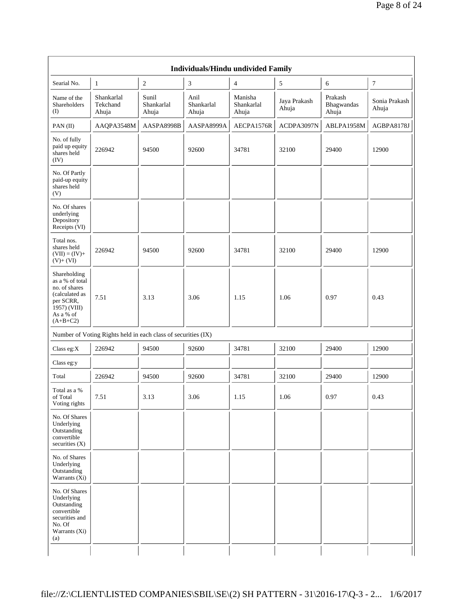|                                                                                                                            |                                                               |                              |                             | Individuals/Hindu undivided Family |                       |                                |                        |
|----------------------------------------------------------------------------------------------------------------------------|---------------------------------------------------------------|------------------------------|-----------------------------|------------------------------------|-----------------------|--------------------------------|------------------------|
| Searial No.                                                                                                                | 1                                                             | $\sqrt{2}$                   | 3                           | 4                                  | $\mathfrak s$         | 6                              | $\tau$                 |
| Name of the<br>Shareholders<br>(I)                                                                                         | Shankarlal<br>Tekchand<br>Ahuja                               | Sunil<br>Shankarlal<br>Ahuja | Anil<br>Shankarlal<br>Ahuja | Manisha<br>Shankarlal<br>Ahuja     | Jaya Prakash<br>Ahuja | Prakash<br>Bhagwandas<br>Ahuja | Sonia Prakash<br>Ahuja |
| PAN(II)                                                                                                                    | AAQPA3548M                                                    | AASPA8998B                   | AASPA8999A                  | AECPA1576R                         | ACDPA3097N            | ABLPA1958M                     | AGBPA8178J             |
| No. of fully<br>paid up equity<br>shares held<br>(IV)                                                                      | 226942                                                        | 94500                        | 92600                       | 34781                              | 32100                 | 29400                          | 12900                  |
| No. Of Partly<br>paid-up equity<br>shares held<br>(V)                                                                      |                                                               |                              |                             |                                    |                       |                                |                        |
| No. Of shares<br>underlying<br>Depository<br>Receipts (VI)                                                                 |                                                               |                              |                             |                                    |                       |                                |                        |
| Total nos.<br>shares held<br>$(VII) = (IV) +$<br>$(V)+(VI)$                                                                | 226942                                                        | 94500                        | 92600                       | 34781                              | 32100                 | 29400                          | 12900                  |
| Shareholding<br>as a % of total<br>no. of shares<br>(calculated as<br>per SCRR,<br>1957) (VIII)<br>As a % of<br>$(A+B+C2)$ | 7.51                                                          | 3.13                         | 3.06                        | 1.15                               | 1.06                  | 0.97                           | 0.43                   |
|                                                                                                                            | Number of Voting Rights held in each class of securities (IX) |                              |                             |                                    |                       |                                |                        |
| Class eg: $X$                                                                                                              | 226942                                                        | 94500                        | 92600                       | 34781                              | 32100                 | 29400                          | 12900                  |
| Class eg:y                                                                                                                 |                                                               |                              |                             |                                    |                       |                                |                        |
| Total                                                                                                                      | 226942                                                        | 94500                        | 92600                       | 34781                              | 32100                 | 29400                          | 12900                  |
| Total as a %<br>of Total<br>Voting rights                                                                                  | 7.51                                                          | 3.13                         | 3.06                        | 1.15                               | 1.06                  | 0.97                           | 0.43                   |
| No. Of Shares<br>Underlying<br>Outstanding<br>convertible<br>securities (X)                                                |                                                               |                              |                             |                                    |                       |                                |                        |
| No. of Shares<br>Underlying<br>Outstanding<br>Warrants (Xi)                                                                |                                                               |                              |                             |                                    |                       |                                |                        |
| No. Of Shares<br>Underlying<br>Outstanding<br>convertible<br>securities and<br>No. Of<br>Warrants (Xi)<br>(a)              |                                                               |                              |                             |                                    |                       |                                |                        |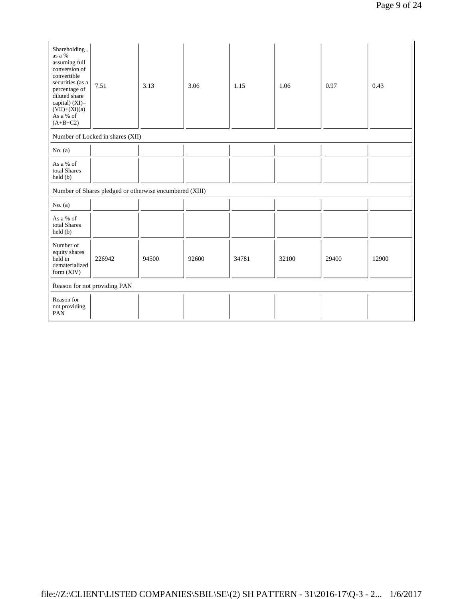| Shareholding,<br>as a %<br>assuming full<br>conversion of<br>convertible<br>securities (as a<br>percentage of<br>diluted share<br>capital) $(XI)=$<br>$(VII)+(Xi)(a)$<br>As a % of<br>$(A+B+C2)$ | 7.51                                                    | 3.13  | 3.06  | 1.15  | 1.06  | 0.97  | 0.43  |
|--------------------------------------------------------------------------------------------------------------------------------------------------------------------------------------------------|---------------------------------------------------------|-------|-------|-------|-------|-------|-------|
|                                                                                                                                                                                                  | Number of Locked in shares (XII)                        |       |       |       |       |       |       |
| No. $(a)$                                                                                                                                                                                        |                                                         |       |       |       |       |       |       |
| As a % of<br>total Shares<br>held (b)                                                                                                                                                            |                                                         |       |       |       |       |       |       |
|                                                                                                                                                                                                  | Number of Shares pledged or otherwise encumbered (XIII) |       |       |       |       |       |       |
| No. $(a)$                                                                                                                                                                                        |                                                         |       |       |       |       |       |       |
| As a % of<br>total Shares<br>held (b)                                                                                                                                                            |                                                         |       |       |       |       |       |       |
| Number of<br>equity shares<br>held in<br>dematerialized<br>form $(XIV)$                                                                                                                          | 226942                                                  | 94500 | 92600 | 34781 | 32100 | 29400 | 12900 |
|                                                                                                                                                                                                  | Reason for not providing PAN                            |       |       |       |       |       |       |
| Reason for<br>not providing<br>PAN                                                                                                                                                               |                                                         |       |       |       |       |       |       |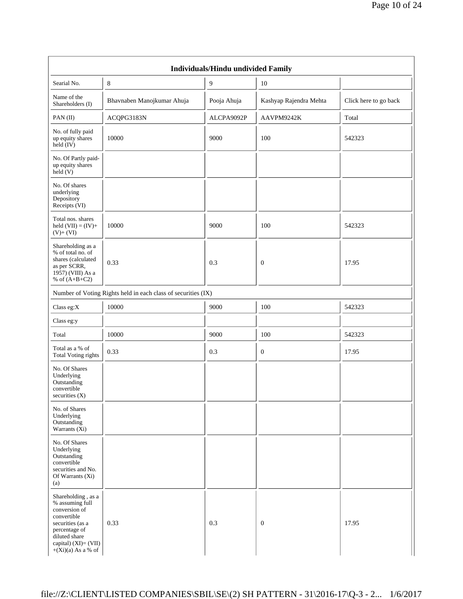| Individuals/Hindu undivided Family                                                                                                                                          |                                                               |                |                        |                       |  |  |  |
|-----------------------------------------------------------------------------------------------------------------------------------------------------------------------------|---------------------------------------------------------------|----------------|------------------------|-----------------------|--|--|--|
| Searial No.                                                                                                                                                                 | 8                                                             | $\overline{9}$ | 10                     |                       |  |  |  |
| Name of the<br>Shareholders (I)                                                                                                                                             | Bhavnaben Manojkumar Ahuja                                    | Pooja Ahuja    | Kashyap Rajendra Mehta | Click here to go back |  |  |  |
| PAN(II)                                                                                                                                                                     | ACQPG3183N                                                    | ALCPA9092P     | AAVPM9242K             | Total                 |  |  |  |
| No. of fully paid<br>up equity shares<br>held (IV)                                                                                                                          | 10000                                                         | 9000           | 100                    | 542323                |  |  |  |
| No. Of Partly paid-<br>up equity shares<br>held (V)                                                                                                                         |                                                               |                |                        |                       |  |  |  |
| No. Of shares<br>underlying<br>Depository<br>Receipts (VI)                                                                                                                  |                                                               |                |                        |                       |  |  |  |
| Total nos. shares<br>held $(VII) = (IV) +$<br>$(V)+(VI)$                                                                                                                    | 10000                                                         | 9000           | 100                    | 542323                |  |  |  |
| Shareholding as a<br>% of total no. of<br>shares (calculated<br>as per SCRR,<br>1957) (VIII) As a<br>% of $(A+B+C2)$                                                        | 0.33                                                          | 0.3            | $\boldsymbol{0}$       | 17.95                 |  |  |  |
|                                                                                                                                                                             | Number of Voting Rights held in each class of securities (IX) |                |                        |                       |  |  |  |
| Class eg:X                                                                                                                                                                  | 10000                                                         | 9000           | 100                    | 542323                |  |  |  |
| Class eg:y                                                                                                                                                                  |                                                               |                |                        |                       |  |  |  |
| Total                                                                                                                                                                       | 10000                                                         | 9000           | 100                    | 542323                |  |  |  |
| Total as a % of<br><b>Total Voting rights</b>                                                                                                                               | 0.33                                                          | 0.3            | $\boldsymbol{0}$       | 17.95                 |  |  |  |
| No. Of Shares<br>Underlying<br>Outstanding<br>convertible<br>securities (X)                                                                                                 |                                                               |                |                        |                       |  |  |  |
| No. of Shares<br>Underlying<br>Outstanding<br>Warrants $(X_i)$                                                                                                              |                                                               |                |                        |                       |  |  |  |
| No. Of Shares<br>Underlying<br>Outstanding<br>convertible<br>securities and No.<br>Of Warrants (Xi)<br>(a)                                                                  |                                                               |                |                        |                       |  |  |  |
| Shareholding, as a<br>% assuming full<br>conversion of<br>convertible<br>securities (as a<br>percentage of<br>diluted share<br>capital) (XI)= (VII)<br>$+(Xi)(a)$ As a % of | 0.33                                                          | 0.3            | $\mathbf{0}$           | 17.95                 |  |  |  |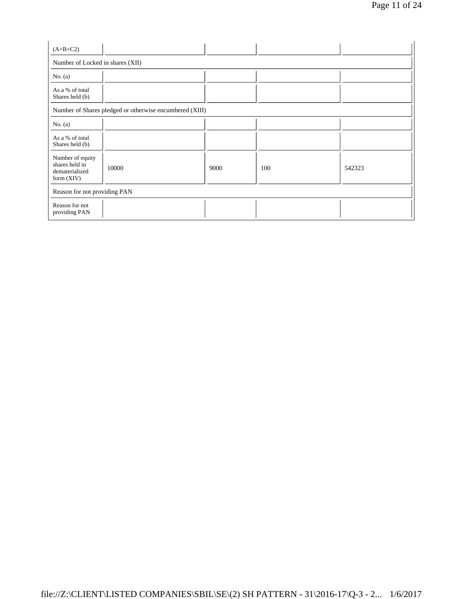| $(A+B+C2)$                                                           |                                                         |      |     |        |  |  |  |
|----------------------------------------------------------------------|---------------------------------------------------------|------|-----|--------|--|--|--|
| Number of Locked in shares (XII)                                     |                                                         |      |     |        |  |  |  |
| No. $(a)$                                                            |                                                         |      |     |        |  |  |  |
| As a % of total<br>Shares held (b)                                   |                                                         |      |     |        |  |  |  |
|                                                                      | Number of Shares pledged or otherwise encumbered (XIII) |      |     |        |  |  |  |
| No. $(a)$                                                            |                                                         |      |     |        |  |  |  |
| As a % of total<br>Shares held (b)                                   |                                                         |      |     |        |  |  |  |
| Number of equity<br>shares held in<br>dematerialized<br>form $(XIV)$ | 10000                                                   | 9000 | 100 | 542323 |  |  |  |
| Reason for not providing PAN                                         |                                                         |      |     |        |  |  |  |
| Reason for not<br>providing PAN                                      |                                                         |      |     |        |  |  |  |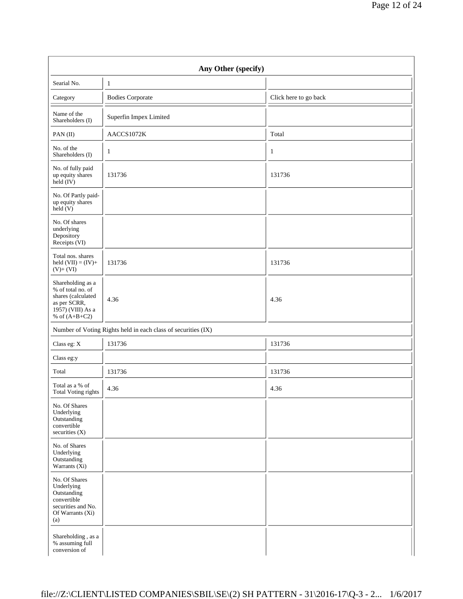|                                                                                                                      | Any Other (specify)                                           |                       |
|----------------------------------------------------------------------------------------------------------------------|---------------------------------------------------------------|-----------------------|
| Searial No.                                                                                                          | $\mathbf{1}$                                                  |                       |
| Category                                                                                                             | <b>Bodies Corporate</b>                                       | Click here to go back |
| Name of the<br>Shareholders (I)                                                                                      | Superfin Impex Limited                                        |                       |
| PAN (II)                                                                                                             | AACCS1072K                                                    | Total                 |
| No. of the<br>Shareholders (I)                                                                                       | $\mathbf{1}$                                                  | $\mathbf{1}$          |
| No. of fully paid<br>up equity shares<br>$\text{held} (IV)$                                                          | 131736                                                        | 131736                |
| No. Of Partly paid-<br>up equity shares<br>$\text{held}(V)$                                                          |                                                               |                       |
| No. Of shares<br>underlying<br>Depository<br>Receipts (VI)                                                           |                                                               |                       |
| Total nos. shares<br>held $(VII) = (IV) +$<br>$(V)+(VI)$                                                             | 131736                                                        | 131736                |
| Shareholding as a<br>% of total no. of<br>shares (calculated<br>as per SCRR,<br>1957) (VIII) As a<br>% of $(A+B+C2)$ | 4.36                                                          | 4.36                  |
|                                                                                                                      | Number of Voting Rights held in each class of securities (IX) |                       |
| Class eg: X                                                                                                          | 131736                                                        | 131736                |
| Class eg:y                                                                                                           |                                                               |                       |
| Total                                                                                                                | 131736                                                        | 131736                |
| Total as a % of<br>Total Voting rights                                                                               | 4.36                                                          | 4.36                  |
| No. Of Shares<br>Underlying<br>Outstanding<br>convertible<br>securities (X)                                          |                                                               |                       |
| No. of Shares<br>Underlying<br>Outstanding<br>Warrants $(X_i)$                                                       |                                                               |                       |
| No. Of Shares<br>Underlying<br>Outstanding<br>convertible<br>securities and No.<br>Of Warrants (Xi)<br>(a)           |                                                               |                       |
| Shareholding, as a<br>% assuming full<br>conversion of                                                               |                                                               |                       |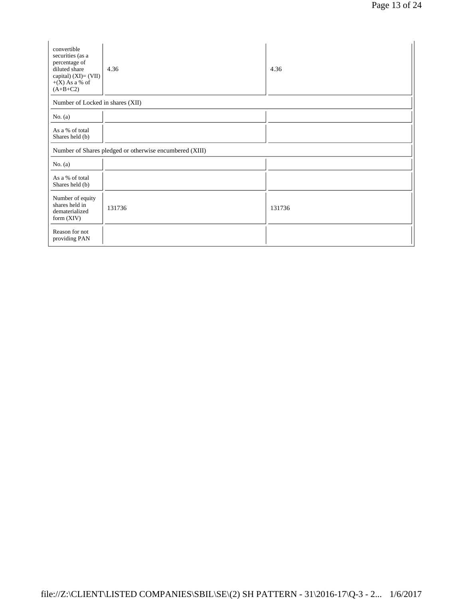| convertible<br>securities (as a<br>percentage of<br>diluted share<br>capital) $(XI) = (VII)$<br>$+(X)$ As a % of<br>$(A+B+C2)$ | 4.36                                                    | 4.36   |  |  |  |  |  |  |
|--------------------------------------------------------------------------------------------------------------------------------|---------------------------------------------------------|--------|--|--|--|--|--|--|
|                                                                                                                                | Number of Locked in shares (XII)                        |        |  |  |  |  |  |  |
| No. $(a)$                                                                                                                      |                                                         |        |  |  |  |  |  |  |
| As a % of total<br>Shares held (b)                                                                                             |                                                         |        |  |  |  |  |  |  |
|                                                                                                                                | Number of Shares pledged or otherwise encumbered (XIII) |        |  |  |  |  |  |  |
| No. $(a)$                                                                                                                      |                                                         |        |  |  |  |  |  |  |
| As a % of total<br>Shares held (b)                                                                                             |                                                         |        |  |  |  |  |  |  |
| Number of equity<br>shares held in<br>dematerialized<br>form $(XIV)$                                                           | 131736                                                  | 131736 |  |  |  |  |  |  |
| Reason for not<br>providing PAN                                                                                                |                                                         |        |  |  |  |  |  |  |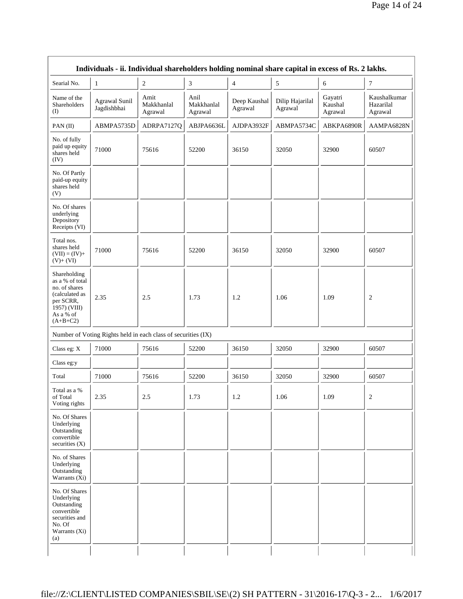| Searial No.                                                                                                                | $\mathbf{1}$                                                  | $\overline{c}$                | $\mathfrak{Z}$                | $\overline{4}$          | 5                          | 6                             | 7                                    |
|----------------------------------------------------------------------------------------------------------------------------|---------------------------------------------------------------|-------------------------------|-------------------------------|-------------------------|----------------------------|-------------------------------|--------------------------------------|
| Name of the<br>Shareholders<br>(I)                                                                                         | <b>Agrawal Sunil</b><br>Jagdishbhai                           | Amit<br>Makkhanlal<br>Agrawal | Anil<br>Makkhanlal<br>Agrawal | Deep Kaushal<br>Agrawal | Dilip Hajarilal<br>Agrawal | Gayatri<br>Kaushal<br>Agrawal | Kaushalkumar<br>Hazarilal<br>Agrawal |
| PAN (II)                                                                                                                   | ABMPA5735D                                                    | ADRPA7127Q                    | ABJPA6636L                    | AJDPA3932F              | ABMPA5734C                 | ABKPA6890R                    | AAMPA6828N                           |
| No. of fully<br>paid up equity<br>shares held<br>(IV)                                                                      | 71000                                                         | 75616                         | 52200                         | 36150                   | 32050                      | 32900                         | 60507                                |
| No. Of Partly<br>paid-up equity<br>shares held<br>(V)                                                                      |                                                               |                               |                               |                         |                            |                               |                                      |
| No. Of shares<br>underlying<br>Depository<br>Receipts (VI)                                                                 |                                                               |                               |                               |                         |                            |                               |                                      |
| Total nos.<br>shares held<br>$(VII) = (IV) +$<br>$(V)+(VI)$                                                                | 71000                                                         | 75616                         | 52200                         | 36150                   | 32050                      | 32900                         | 60507                                |
| Shareholding<br>as a % of total<br>no. of shares<br>(calculated as<br>per SCRR,<br>1957) (VIII)<br>As a % of<br>$(A+B+C2)$ | 2.35                                                          | 2.5                           | 1.73                          | 1.2                     | 1.06                       | 1.09                          | $\overline{c}$                       |
|                                                                                                                            | Number of Voting Rights held in each class of securities (IX) |                               |                               |                         |                            |                               |                                      |
| Class eg: X                                                                                                                | 71000                                                         | 75616                         | 52200                         | 36150                   | 32050                      | 32900                         | 60507                                |
| Class eg:y                                                                                                                 |                                                               |                               |                               |                         |                            |                               |                                      |
| Total                                                                                                                      | 71000                                                         | 75616                         | 52200                         | 36150                   | 32050                      | 32900                         | 60507                                |
| Total as a %<br>of Total<br>Voting rights                                                                                  | 2.35                                                          | $2.5\,$                       | 1.73                          | $1.2\,$                 | 1.06                       | 1.09                          | $\boldsymbol{2}$                     |
| No. Of Shares<br>Underlying<br>Outstanding<br>convertible<br>securities (X)                                                |                                                               |                               |                               |                         |                            |                               |                                      |
| No. of Shares<br>Underlying<br>Outstanding<br>Warrants (Xi)                                                                |                                                               |                               |                               |                         |                            |                               |                                      |
| No. Of Shares<br>Underlying<br>Outstanding<br>convertible<br>securities and<br>No. Of<br>Warrants (Xi)<br>(a)              |                                                               |                               |                               |                         |                            |                               |                                      |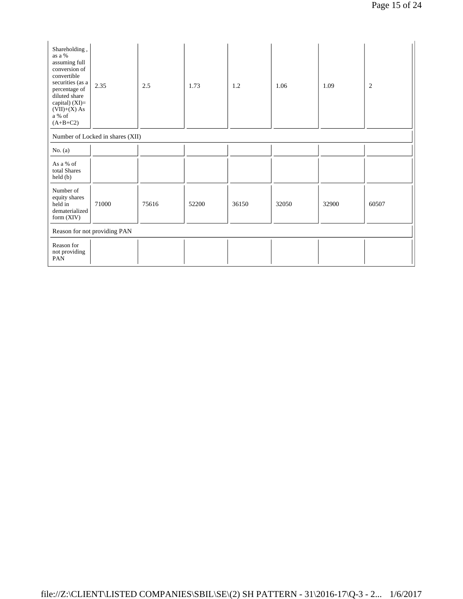| Shareholding,<br>as a %<br>assuming full<br>conversion of<br>convertible<br>securities (as a<br>percentage of<br>diluted share<br>capital) (XI)=<br>$(VII)+(X) As$<br>$\rm{a}$ % of<br>$(A+B+C2)$ | 2.35                             | $2.5\,$ | 1.73  | 1.2   | 1.06  | 1.09  | $\overline{c}$ |
|---------------------------------------------------------------------------------------------------------------------------------------------------------------------------------------------------|----------------------------------|---------|-------|-------|-------|-------|----------------|
|                                                                                                                                                                                                   | Number of Locked in shares (XII) |         |       |       |       |       |                |
| No. $(a)$                                                                                                                                                                                         |                                  |         |       |       |       |       |                |
| As a % of<br>total Shares<br>$\text{held}(\text{b})$                                                                                                                                              |                                  |         |       |       |       |       |                |
| Number of<br>equity shares<br>held in<br>dematerialized<br>form (XIV)                                                                                                                             | 71000                            | 75616   | 52200 | 36150 | 32050 | 32900 | 60507          |
| Reason for not providing PAN                                                                                                                                                                      |                                  |         |       |       |       |       |                |
| Reason for<br>not providing<br>PAN                                                                                                                                                                |                                  |         |       |       |       |       |                |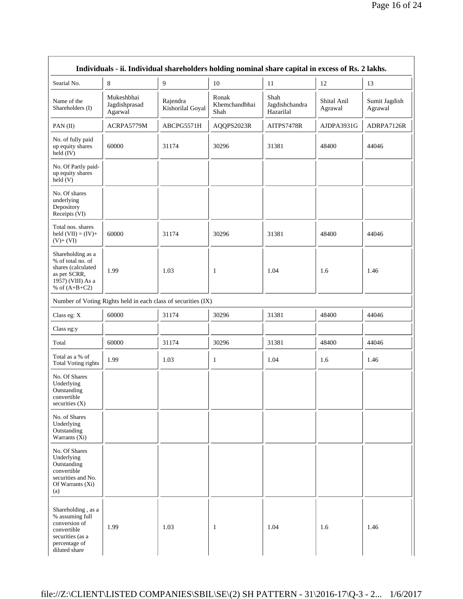|                                                                                                                             |                                        | Individuals - ii. Individual shareholders holding nominal share capital in excess of Rs. 2 lakhs. |                                |                                     |                        |                          |
|-----------------------------------------------------------------------------------------------------------------------------|----------------------------------------|---------------------------------------------------------------------------------------------------|--------------------------------|-------------------------------------|------------------------|--------------------------|
| Searial No.                                                                                                                 | $\,8\,$                                | 9                                                                                                 | 10                             | 11                                  | 12                     | 13                       |
| Name of the<br>Shareholders (I)                                                                                             | Mukeshbhai<br>Jagdishprasad<br>Agarwal | Rajendra<br>Kishorilal Goyal                                                                      | Ronak<br>Khemchandbhai<br>Shah | Shah<br>Jagdishchandra<br>Hazarilal | Shital Anil<br>Agrawal | Sumit Jagdish<br>Agrawal |
| PAN(II)                                                                                                                     | ACRPA5779M                             | ABCPG5571H                                                                                        | AQQPS2023R                     | AITPS7478R                          | AJDPA3931G             | ADRPA7126R               |
| No. of fully paid<br>up equity shares<br>held $(IV)$                                                                        | 60000                                  | 31174                                                                                             | 30296                          | 31381                               | 48400                  | 44046                    |
| No. Of Partly paid-<br>up equity shares<br>$\text{held}(V)$                                                                 |                                        |                                                                                                   |                                |                                     |                        |                          |
| No. Of shares<br>underlying<br>Depository<br>Receipts (VI)                                                                  |                                        |                                                                                                   |                                |                                     |                        |                          |
| Total nos. shares<br>held $(VII) = (IV) +$<br>$(V)+(VI)$                                                                    | 60000                                  | 31174                                                                                             | 30296                          | 31381                               | 48400                  | 44046                    |
| Shareholding as a<br>% of total no. of<br>shares (calculated<br>as per SCRR,<br>1957) (VIII) As a<br>% of $(A+B+C2)$        | 1.99                                   | 1.03                                                                                              | 1                              | 1.04                                | 1.6                    | 1.46                     |
|                                                                                                                             |                                        | Number of Voting Rights held in each class of securities (IX)                                     |                                |                                     |                        |                          |
| Class eg: X                                                                                                                 | 60000                                  | 31174                                                                                             | 30296                          | 31381                               | 48400                  | 44046                    |
| Class eg:y                                                                                                                  |                                        |                                                                                                   |                                |                                     |                        |                          |
| Total                                                                                                                       | 60000                                  | 31174                                                                                             | 30296                          | 31381                               | 48400                  | 44046                    |
| Total as a % of<br><b>Total Voting rights</b>                                                                               | 1.99                                   | 1.03                                                                                              | $\mathbf{1}$                   | 1.04                                | 1.6                    | 1.46                     |
| No. Of Shares<br>Underlying<br>Outstanding<br>convertible<br>securities (X)                                                 |                                        |                                                                                                   |                                |                                     |                        |                          |
| No. of Shares<br>Underlying<br>Outstanding<br>Warrants (Xi)                                                                 |                                        |                                                                                                   |                                |                                     |                        |                          |
| No. Of Shares<br>Underlying<br>Outstanding<br>convertible<br>securities and No.<br>Of Warrants (Xi)<br>(a)                  |                                        |                                                                                                   |                                |                                     |                        |                          |
| Shareholding, as a<br>% assuming full<br>conversion of<br>convertible<br>securities (as a<br>percentage of<br>diluted share | 1.99                                   | 1.03                                                                                              | $\mathbf{1}$                   | 1.04                                | 1.6                    | 1.46                     |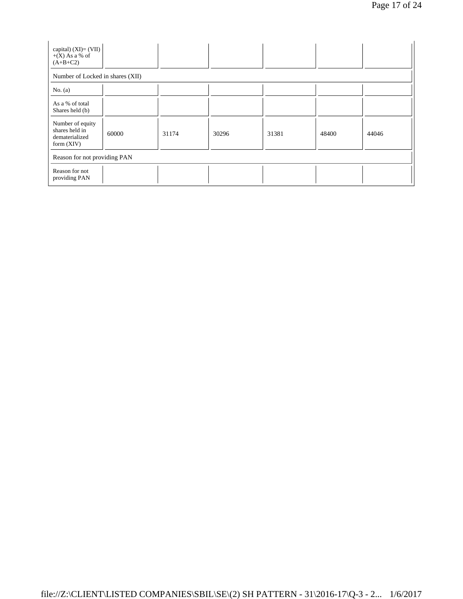| capital) $(XI) = (VII)$<br>$+(X)$ As a % of<br>$(A+B+C2)$            |       |       |       |       |       |       |  |
|----------------------------------------------------------------------|-------|-------|-------|-------|-------|-------|--|
| Number of Locked in shares (XII)                                     |       |       |       |       |       |       |  |
| No. $(a)$                                                            |       |       |       |       |       |       |  |
| As a % of total<br>Shares held (b)                                   |       |       |       |       |       |       |  |
| Number of equity<br>shares held in<br>dematerialized<br>form $(XIV)$ | 60000 | 31174 | 30296 | 31381 | 48400 | 44046 |  |
| Reason for not providing PAN                                         |       |       |       |       |       |       |  |
| Reason for not<br>providing PAN                                      |       |       |       |       |       |       |  |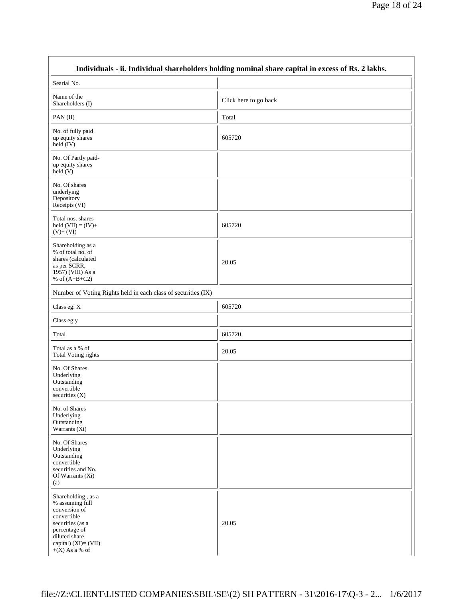|                                                                                                                                                                         | Individuals - ii. Individual shareholders holding nominal share capital in excess of Rs. 2 lakhs. |  |
|-------------------------------------------------------------------------------------------------------------------------------------------------------------------------|---------------------------------------------------------------------------------------------------|--|
| Searial No.                                                                                                                                                             |                                                                                                   |  |
| Name of the<br>Shareholders (I)                                                                                                                                         | Click here to go back                                                                             |  |
| PAN(II)                                                                                                                                                                 | Total                                                                                             |  |
| No. of fully paid<br>up equity shares<br>held (IV)                                                                                                                      | 605720                                                                                            |  |
| No. Of Partly paid-<br>up equity shares<br>held (V)                                                                                                                     |                                                                                                   |  |
| No. Of shares<br>underlying<br>Depository<br>Receipts (VI)                                                                                                              |                                                                                                   |  |
| Total nos. shares<br>held $(VII) = (IV) +$<br>$(V)+(VI)$                                                                                                                | 605720                                                                                            |  |
| Shareholding as a<br>% of total no. of<br>shares (calculated<br>as per SCRR,<br>1957) (VIII) As a<br>% of $(A+B+C2)$                                                    | 20.05                                                                                             |  |
| Number of Voting Rights held in each class of securities (IX)                                                                                                           |                                                                                                   |  |
| Class eg: X                                                                                                                                                             | 605720                                                                                            |  |
| Class eg:y                                                                                                                                                              |                                                                                                   |  |
| Total                                                                                                                                                                   | 605720                                                                                            |  |
| Total as a % of<br>Total Voting rights                                                                                                                                  | 20.05                                                                                             |  |
| No. Of Shares<br>Underlying<br>Outstanding<br>convertible<br>securities $(X)$                                                                                           |                                                                                                   |  |
| No. of Shares<br>Underlying<br>Outstanding<br>Warrants $(X_i)$                                                                                                          |                                                                                                   |  |
| No. Of Shares<br>Underlying<br>Outstanding<br>convertible<br>securities and No.<br>Of Warrants (Xi)<br>(a)                                                              |                                                                                                   |  |
| Shareholding, as a<br>% assuming full<br>conversion of<br>convertible<br>securities (as a<br>percentage of<br>diluted share<br>capital) (XI)= (VII)<br>$+(X)$ As a % of | 20.05                                                                                             |  |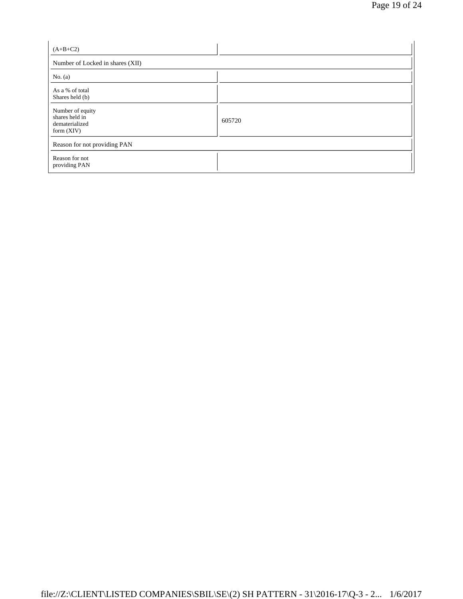| $(A+B+C2)$                                                           |        |
|----------------------------------------------------------------------|--------|
| Number of Locked in shares (XII)                                     |        |
| No. $(a)$                                                            |        |
| As a % of total<br>Shares held (b)                                   |        |
| Number of equity<br>shares held in<br>dematerialized<br>form $(XIV)$ | 605720 |
| Reason for not providing PAN                                         |        |
| Reason for not<br>providing PAN                                      |        |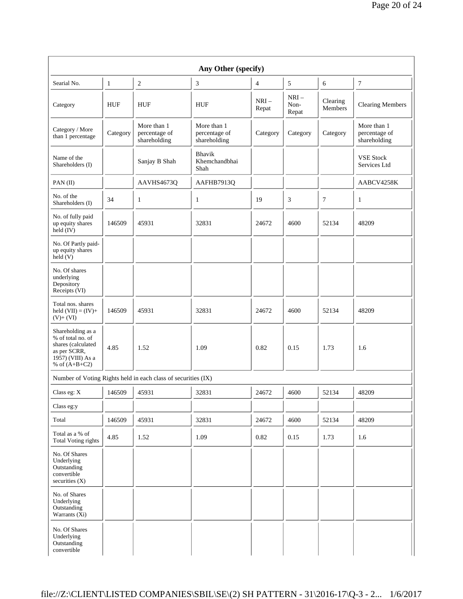| Any Other (specify)                                                                                                  |              |                                                               |                                              |                 |                         |                     |                                              |
|----------------------------------------------------------------------------------------------------------------------|--------------|---------------------------------------------------------------|----------------------------------------------|-----------------|-------------------------|---------------------|----------------------------------------------|
| Searial No.                                                                                                          | $\mathbf{1}$ | $\sqrt{2}$                                                    | 3                                            | $\overline{4}$  | 5                       | 6                   | 7                                            |
| Category                                                                                                             | HUF          | <b>HUF</b>                                                    | <b>HUF</b>                                   | $NRI-$<br>Repat | $NRI-$<br>Non-<br>Repat | Clearing<br>Members | <b>Clearing Members</b>                      |
| Category / More<br>than 1 percentage                                                                                 | Category     | More than 1<br>percentage of<br>shareholding                  | More than 1<br>percentage of<br>shareholding | Category        | Category                | Category            | More than 1<br>percentage of<br>shareholding |
| Name of the<br>Shareholders (I)                                                                                      |              | Sanjay B Shah                                                 | Bhavik<br>Khemchandbhai<br>Shah              |                 |                         |                     | <b>VSE Stock</b><br>Services Ltd             |
| PAN $(II)$                                                                                                           |              | AAVHS4673Q                                                    | AAFHB7913Q                                   |                 |                         |                     | AABCV4258K                                   |
| No. of the<br>Shareholders (I)                                                                                       | 34           | $\mathbf{1}$                                                  | $\mathbf{1}$                                 | 19              | 3                       | 7                   | 1                                            |
| No. of fully paid<br>up equity shares<br>$held$ (IV)                                                                 | 146509       | 45931                                                         | 32831                                        | 24672           | 4600                    | 52134               | 48209                                        |
| No. Of Partly paid-<br>up equity shares<br>held(V)                                                                   |              |                                                               |                                              |                 |                         |                     |                                              |
| No. Of shares<br>underlying<br>Depository<br>Receipts (VI)                                                           |              |                                                               |                                              |                 |                         |                     |                                              |
| Total nos. shares<br>held $(VII) = (IV) +$<br>$(V)+(VI)$                                                             | 146509       | 45931                                                         | 32831                                        | 24672           | 4600                    | 52134               | 48209                                        |
| Shareholding as a<br>% of total no. of<br>shares (calculated<br>as per SCRR,<br>1957) (VIII) As a<br>% of $(A+B+C2)$ | 4.85         | 1.52                                                          | 1.09                                         | 0.82            | 0.15                    | 1.73                | 1.6                                          |
|                                                                                                                      |              | Number of Voting Rights held in each class of securities (IX) |                                              |                 |                         |                     |                                              |
| Class eg: X                                                                                                          | 146509       | 45931                                                         | 32831                                        | 24672           | 4600                    | 52134               | 48209                                        |
| Class eg:y                                                                                                           |              |                                                               |                                              |                 |                         |                     |                                              |
| Total                                                                                                                | 146509       | 45931                                                         | 32831                                        | 24672           | 4600                    | 52134               | 48209                                        |
| Total as a % of<br><b>Total Voting rights</b>                                                                        | 4.85         | 1.52                                                          | 1.09                                         | 0.82            | 0.15                    | 1.73                | 1.6                                          |
| No. Of Shares<br>Underlying<br>Outstanding<br>convertible<br>securities $(X)$                                        |              |                                                               |                                              |                 |                         |                     |                                              |
| No. of Shares<br>Underlying<br>Outstanding<br>Warrants (Xi)                                                          |              |                                                               |                                              |                 |                         |                     |                                              |
| No. Of Shares<br>Underlying<br>Outstanding<br>convertible                                                            |              |                                                               |                                              |                 |                         |                     |                                              |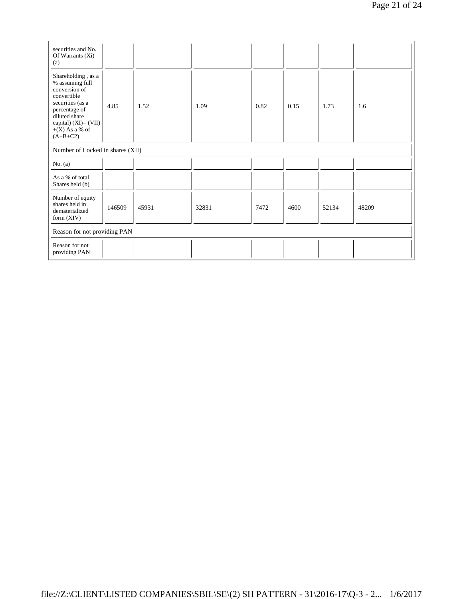| securities and No.<br>Of Warrants $(X_i)$<br>(a)                                                                                                                                         |        |       |       |      |      |       |       |
|------------------------------------------------------------------------------------------------------------------------------------------------------------------------------------------|--------|-------|-------|------|------|-------|-------|
| Shareholding, as a<br>% assuming full<br>conversion of<br>convertible<br>securities (as a<br>percentage of<br>diluted share<br>capital) $(XI) = (VII)$<br>$+(X)$ As a % of<br>$(A+B+C2)$ | 4.85   | 1.52  | 1.09  | 0.82 | 0.15 | 1.73  | 1.6   |
| Number of Locked in shares (XII)                                                                                                                                                         |        |       |       |      |      |       |       |
| No. $(a)$                                                                                                                                                                                |        |       |       |      |      |       |       |
| As a % of total<br>Shares held (b)                                                                                                                                                       |        |       |       |      |      |       |       |
| Number of equity<br>shares held in<br>dematerialized<br>form $(XIV)$                                                                                                                     | 146509 | 45931 | 32831 | 7472 | 4600 | 52134 | 48209 |
| Reason for not providing PAN                                                                                                                                                             |        |       |       |      |      |       |       |
| Reason for not<br>providing PAN                                                                                                                                                          |        |       |       |      |      |       |       |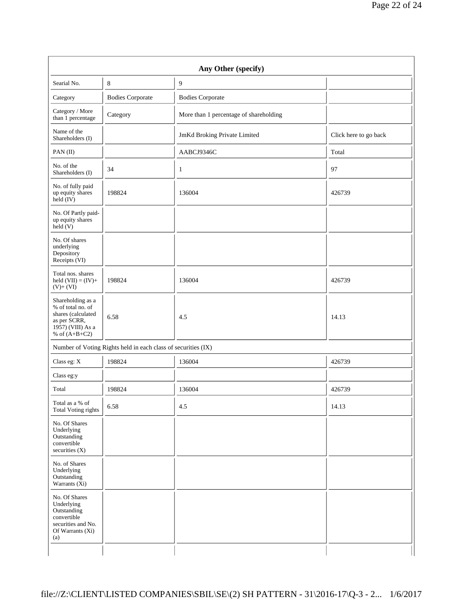| Searial No.                                                                                                          | 8                                                             | 9                                      |                       |
|----------------------------------------------------------------------------------------------------------------------|---------------------------------------------------------------|----------------------------------------|-----------------------|
| Category                                                                                                             | <b>Bodies Corporate</b>                                       | <b>Bodies Corporate</b>                |                       |
| Category / More<br>than 1 percentage                                                                                 | Category                                                      | More than 1 percentage of shareholding |                       |
| Name of the<br>Shareholders (I)                                                                                      |                                                               | JmKd Broking Private Limited           | Click here to go back |
| PAN(II)                                                                                                              |                                                               | AABCJ9346C                             | Total                 |
| No. of the<br>Shareholders (I)                                                                                       | 34                                                            | $\mathbf{1}$                           | 97                    |
| No. of fully paid<br>up equity shares<br>$held$ (IV)                                                                 | 198824                                                        | 136004                                 | 426739                |
| No. Of Partly paid-<br>up equity shares<br>$\text{held}(V)$                                                          |                                                               |                                        |                       |
| No. Of shares<br>underlying<br>Depository<br>Receipts (VI)                                                           |                                                               |                                        |                       |
| Total nos. shares<br>held $(VII) = (IV) +$<br>$(V)+(VI)$                                                             | 198824                                                        | 136004                                 | 426739                |
| Shareholding as a<br>% of total no. of<br>shares (calculated<br>as per SCRR,<br>1957) (VIII) As a<br>% of $(A+B+C2)$ | 6.58                                                          | 4.5                                    | 14.13                 |
|                                                                                                                      | Number of Voting Rights held in each class of securities (IX) |                                        |                       |
| Class eg: X                                                                                                          | 198824                                                        | 136004                                 | 426739                |
| Class eg:y                                                                                                           |                                                               |                                        |                       |
| Total                                                                                                                | 198824                                                        | 136004                                 | 426739                |
| Total as a $\%$ of<br><b>Total Voting rights</b>                                                                     | 6.58                                                          | 4.5                                    | 14.13                 |
| No. Of Shares<br>Underlying<br>Outstanding<br>convertible<br>securities (X)                                          |                                                               |                                        |                       |
| No. of Shares<br>Underlying<br>Outstanding<br>Warrants (Xi)                                                          |                                                               |                                        |                       |
| No. Of Shares<br>Underlying<br>Outstanding<br>convertible<br>securities and No.<br>Of Warrants (Xi)<br>(a)           |                                                               |                                        |                       |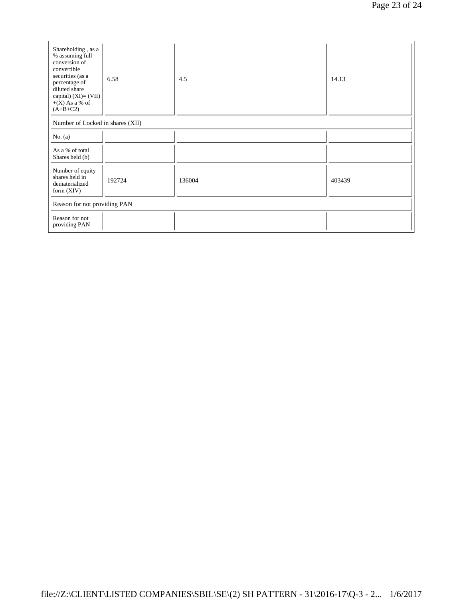| Shareholding, as a<br>% assuming full<br>conversion of<br>convertible<br>securities (as a<br>percentage of<br>diluted share<br>capital) $(XI)=(VII)$<br>$+(X)$ As a % of<br>$(A+B+C2)$ | 6.58   | 4.5    | 14.13  |  |  |  |
|----------------------------------------------------------------------------------------------------------------------------------------------------------------------------------------|--------|--------|--------|--|--|--|
| Number of Locked in shares (XII)                                                                                                                                                       |        |        |        |  |  |  |
| No. $(a)$                                                                                                                                                                              |        |        |        |  |  |  |
| As a % of total<br>Shares held (b)                                                                                                                                                     |        |        |        |  |  |  |
| Number of equity<br>shares held in<br>dematerialized<br>form $(XIV)$                                                                                                                   | 192724 | 136004 | 403439 |  |  |  |
| Reason for not providing PAN                                                                                                                                                           |        |        |        |  |  |  |
| Reason for not<br>providing PAN                                                                                                                                                        |        |        |        |  |  |  |